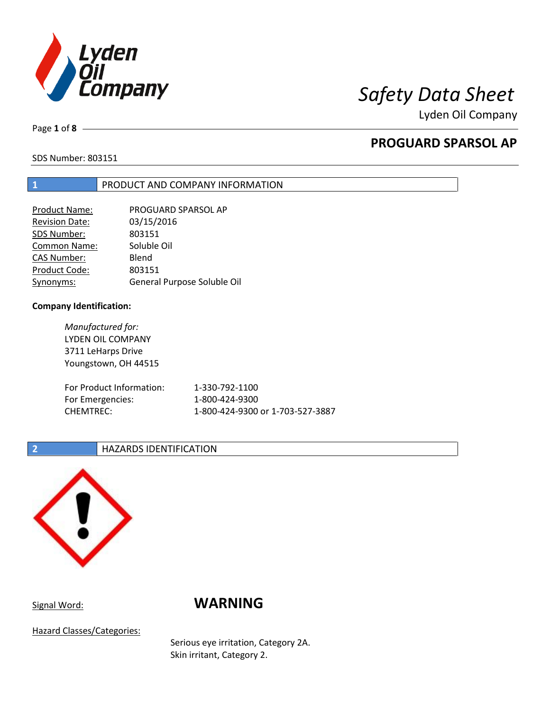

Lyden Oil Company

Page **1** of **8**

# **PROGUARD SPARSOL AP**

SDS Number: 803151

## **1** PRODUCT AND COMPANY INFORMATION

| Product Name:         | PROGUARD SPARSOL AP         |
|-----------------------|-----------------------------|
| <b>Revision Date:</b> | 03/15/2016                  |
| SDS Number:           | 803151                      |
| Common Name:          | Soluble Oil                 |
| <b>CAS Number:</b>    | Blend                       |
| Product Code:         | 803151                      |
| Synonyms:             | General Purpose Soluble Oil |

### **Company Identification:**

*Manufactured for:* LYDEN OIL COMPANY 3711 LeHarps Drive Youngstown, OH 44515 For Product Information: 1-330-792-1100 For Emergencies: 1-800-424-9300 CHEMTREC: 1-800-424-9300 or 1-703-527-3887

### **2 HAZARDS IDENTIFICATION**



# Signal Word: **WARNING**

Hazard Classes/Categories:

Serious eye irritation, Category 2A. Skin irritant, Category 2.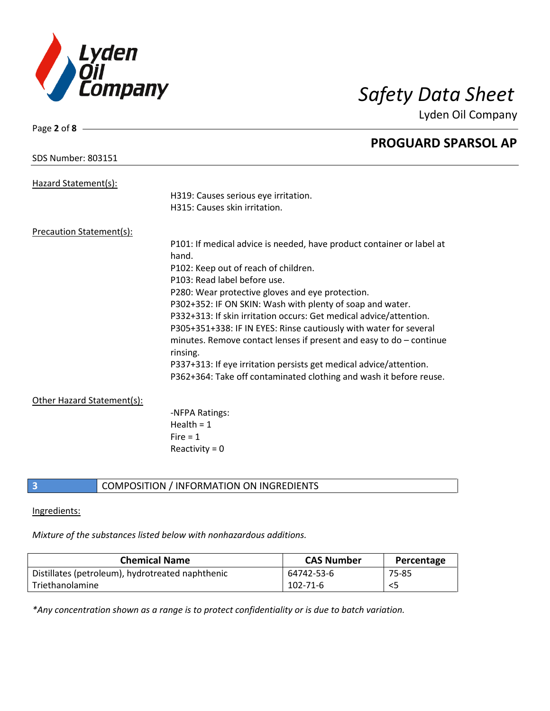

Page **2** of **8**

Lyden Oil Company

|                                 | <b>PROGUARD SPARSOL AP</b>                                            |
|---------------------------------|-----------------------------------------------------------------------|
| <b>SDS Number: 803151</b>       |                                                                       |
| Hazard Statement(s):            |                                                                       |
|                                 | H319: Causes serious eye irritation.                                  |
|                                 | H315: Causes skin irritation.                                         |
| <b>Precaution Statement(s):</b> |                                                                       |
|                                 | P101: If medical advice is needed, have product container or label at |
|                                 | hand.                                                                 |
|                                 | P102: Keep out of reach of children.                                  |
|                                 | P103: Read label before use.                                          |
|                                 | P280: Wear protective gloves and eye protection.                      |
|                                 | P302+352: IF ON SKIN: Wash with plenty of soap and water.             |
|                                 | P332+313: If skin irritation occurs: Get medical advice/attention.    |
|                                 | P305+351+338: IF IN EYES: Rinse cautiously with water for several     |
|                                 | minutes. Remove contact lenses if present and easy to do $-$ continue |
|                                 | rinsing.                                                              |
|                                 | P337+313: If eye irritation persists get medical advice/attention.    |
|                                 | P362+364: Take off contaminated clothing and wash it before reuse.    |
| Other Hazard Statement(s):      |                                                                       |
|                                 | -NFPA Ratings:                                                        |
|                                 | Health = $1$                                                          |
|                                 | $Fire = 1$                                                            |
|                                 | Reactivity = $0$                                                      |
|                                 |                                                                       |

**3** COMPOSITION / INFORMATION ON INGREDIENTS

### Ingredients:

*Mixture of the substances listed below with nonhazardous additions.*

| <b>Chemical Name</b>                             | <b>CAS Number</b> | Percentage |
|--------------------------------------------------|-------------------|------------|
| Distillates (petroleum), hydrotreated naphthenic | 64742-53-6        | 75-85      |
| Triethanolamine                                  | $102 - 71 - 6$    | <5         |

*\*Any concentration shown as a range is to protect confidentiality or is due to batch variation.*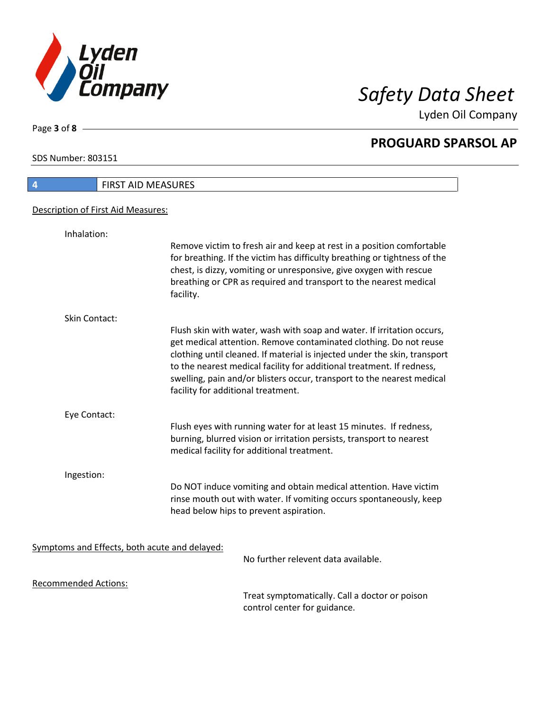

Lyden Oil Company

SDS Number: 803151

Page **3** of **8**

## **4** FIRST AID MEASURES Description of First Aid Measures: Inhalation: Remove victim to fresh air and keep at rest in a position comfortable for breathing. If the victim has difficulty breathing or tightness of the chest, is dizzy, vomiting or unresponsive, give oxygen with rescue breathing or CPR as required and transport to the nearest medical facility. Skin Contact: Flush skin with water, wash with soap and water. If irritation occurs, get medical attention. Remove contaminated clothing. Do not reuse clothing until cleaned. If material is injected under the skin, transport to the nearest medical facility for additional treatment. If redness, swelling, pain and/or blisters occur, transport to the nearest medical facility for additional treatment. Eye Contact: Flush eyes with running water for at least 15 minutes. If redness, burning, blurred vision or irritation persists, transport to nearest medical facility for additional treatment. Ingestion: Do NOT induce vomiting and obtain medical attention. Have victim rinse mouth out with water. If vomiting occurs spontaneously, keep

head below hips to prevent aspiration.

Symptoms and Effects, both acute and delayed:

No further relevent data available.

Recommended Actions:

Treat symptomatically. Call a doctor or poison control center for guidance.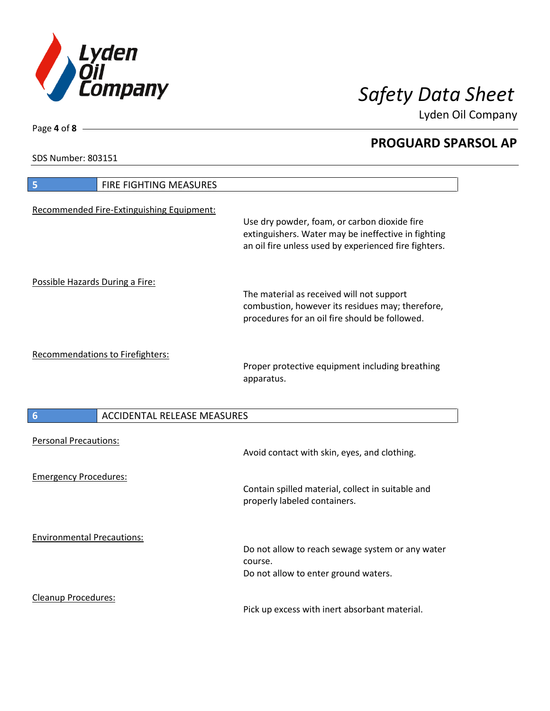

Lyden Oil Company

SDS Number: 803151

Cleanup Procedures:

 $\mathsf{l}$ 

Page **4** of **8**

| 5                                 | FIRE FIGHTING MEASURES                    |                                                                                                                                                              |
|-----------------------------------|-------------------------------------------|--------------------------------------------------------------------------------------------------------------------------------------------------------------|
|                                   |                                           |                                                                                                                                                              |
|                                   | Recommended Fire-Extinguishing Equipment: | Use dry powder, foam, or carbon dioxide fire<br>extinguishers. Water may be ineffective in fighting<br>an oil fire unless used by experienced fire fighters. |
|                                   |                                           |                                                                                                                                                              |
| Possible Hazards During a Fire:   |                                           | The material as received will not support<br>combustion, however its residues may; therefore,<br>procedures for an oil fire should be followed.              |
|                                   | <b>Recommendations to Firefighters:</b>   | Proper protective equipment including breathing<br>apparatus.                                                                                                |
| $6\phantom{1}6$                   | <b>ACCIDENTAL RELEASE MEASURES</b>        |                                                                                                                                                              |
| <b>Personal Precautions:</b>      |                                           | Avoid contact with skin, eyes, and clothing.                                                                                                                 |
| <b>Emergency Procedures:</b>      |                                           | Contain spilled material, collect in suitable and<br>properly labeled containers.                                                                            |
| <b>Environmental Precautions:</b> |                                           | Do not allow to reach sewage system or any water<br>course.<br>Do not allow to enter ground waters.                                                          |

Pick up excess with inert absorbant material.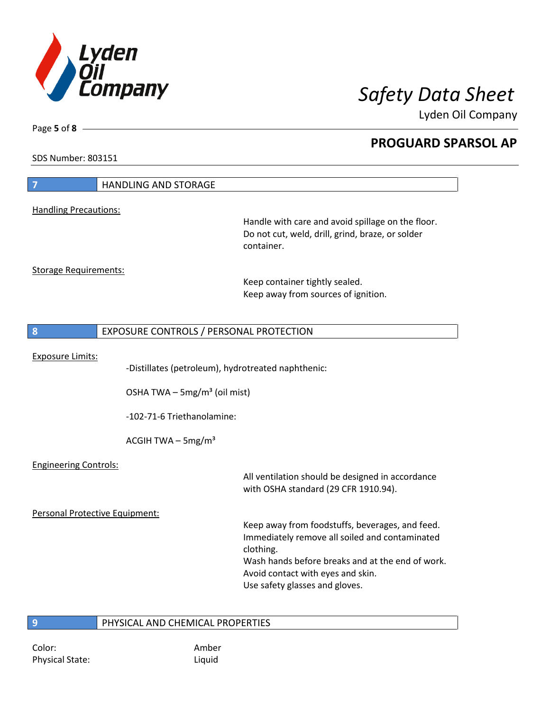

Lyden Oil Company

SDS Number: 803151

Page **5** of **8**

| $\overline{7}$                 | <b>HANDLING AND STORAGE</b>                                                                                                    |                                                                                                                                                                                                                                           |
|--------------------------------|--------------------------------------------------------------------------------------------------------------------------------|-------------------------------------------------------------------------------------------------------------------------------------------------------------------------------------------------------------------------------------------|
| <b>Handling Precautions:</b>   |                                                                                                                                |                                                                                                                                                                                                                                           |
|                                |                                                                                                                                | Handle with care and avoid spillage on the floor.<br>Do not cut, weld, drill, grind, braze, or solder<br>container.                                                                                                                       |
| <b>Storage Requirements:</b>   |                                                                                                                                | Keep container tightly sealed.<br>Keep away from sources of ignition.                                                                                                                                                                     |
| 8                              | EXPOSURE CONTROLS / PERSONAL PROTECTION                                                                                        |                                                                                                                                                                                                                                           |
| <b>Exposure Limits:</b>        | -Distillates (petroleum), hydrotreated naphthenic:<br>OSHA TWA $-$ 5mg/m <sup>3</sup> (oil mist)<br>-102-71-6 Triethanolamine: |                                                                                                                                                                                                                                           |
|                                | ACGIH TWA $-$ 5mg/m <sup>3</sup>                                                                                               |                                                                                                                                                                                                                                           |
| <b>Engineering Controls:</b>   |                                                                                                                                | All ventilation should be designed in accordance<br>with OSHA standard (29 CFR 1910.94).                                                                                                                                                  |
| Personal Protective Equipment: |                                                                                                                                | Keep away from foodstuffs, beverages, and feed.<br>Immediately remove all soiled and contaminated<br>clothing.<br>Wash hands before breaks and at the end of work.<br>Avoid contact with eyes and skin.<br>Use safety glasses and gloves. |
| 9                              | PHYSICAL AND CHEMICAL PROPERTIES                                                                                               |                                                                                                                                                                                                                                           |

Color: Amber Physical State: Liquid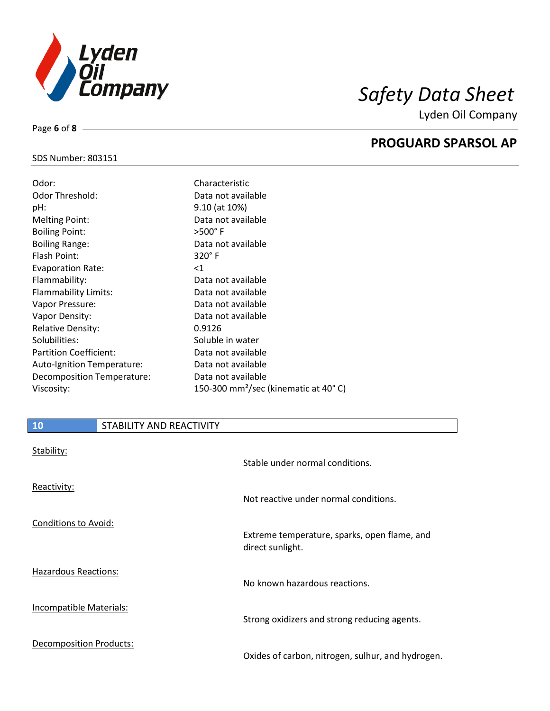

Lyden Oil Company

### SDS Number: 803151

Page **6** of **8**

| Odor:                       | Characteristic                                   |
|-----------------------------|--------------------------------------------------|
| Odor Threshold:             | Data not available                               |
| pH:                         | 9.10 (at 10%)                                    |
| <b>Melting Point:</b>       | Data not available                               |
| <b>Boiling Point:</b>       | $>500^\circ$ F                                   |
| <b>Boiling Range:</b>       | Data not available                               |
| Flash Point:                | $320^\circ$ F                                    |
| <b>Evaporation Rate:</b>    | $<$ 1                                            |
| Flammability:               | Data not available                               |
| <b>Flammability Limits:</b> | Data not available                               |
| Vapor Pressure:             | Data not available                               |
| Vapor Density:              | Data not available                               |
| <b>Relative Density:</b>    | 0.9126                                           |
| Solubilities:               | Soluble in water                                 |
| Partition Coefficient:      | Data not available                               |
| Auto-Ignition Temperature:  | Data not available                               |
| Decomposition Temperature:  | Data not available                               |
| Viscosity:                  | 150-300 mm <sup>2</sup> /sec (kinematic at 40°C) |

| 10                             | STABILITY AND REACTIVITY |                                                                  |
|--------------------------------|--------------------------|------------------------------------------------------------------|
| Stability:                     |                          | Stable under normal conditions.                                  |
| Reactivity:                    |                          | Not reactive under normal conditions.                            |
| Conditions to Avoid:           |                          | Extreme temperature, sparks, open flame, and<br>direct sunlight. |
| Hazardous Reactions:           |                          | No known hazardous reactions.                                    |
| Incompatible Materials:        |                          | Strong oxidizers and strong reducing agents.                     |
| <b>Decomposition Products:</b> |                          | Oxides of carbon, nitrogen, sulhur, and hydrogen.                |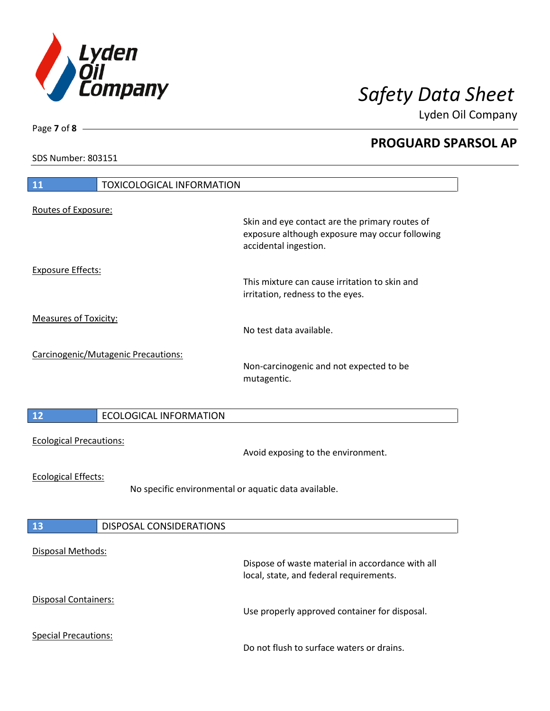

Lyden Oil Company

SDS Number: 803151

| <b>TOXICOLOGICAL INFORMATION</b><br><b>11</b>                                      |                                                                                                                           |
|------------------------------------------------------------------------------------|---------------------------------------------------------------------------------------------------------------------------|
| Routes of Exposure:                                                                | Skin and eye contact are the primary routes of<br>exposure although exposure may occur following<br>accidental ingestion. |
| <b>Exposure Effects:</b>                                                           | This mixture can cause irritation to skin and<br>irritation, redness to the eyes.                                         |
| <b>Measures of Toxicity:</b>                                                       | No test data available.                                                                                                   |
| Carcinogenic/Mutagenic Precautions:                                                | Non-carcinogenic and not expected to be<br>mutagentic.                                                                    |
| <b>ECOLOGICAL INFORMATION</b><br>12                                                |                                                                                                                           |
| <b>Ecological Precautions:</b>                                                     | Avoid exposing to the environment.                                                                                        |
| <b>Ecological Effects:</b><br>No specific environmental or aquatic data available. |                                                                                                                           |
| <b>DISPOSAL CONSIDERATIONS</b><br>13                                               |                                                                                                                           |
| <b>Disposal Methods:</b>                                                           | Dispose of waste material in accordance with all<br>local, state, and federal requirements.                               |
| <b>Disposal Containers:</b>                                                        | Use properly approved container for disposal.                                                                             |
| <b>Special Precautions:</b>                                                        | Do not flush to surface waters or drains.                                                                                 |

Page **7** of **8**